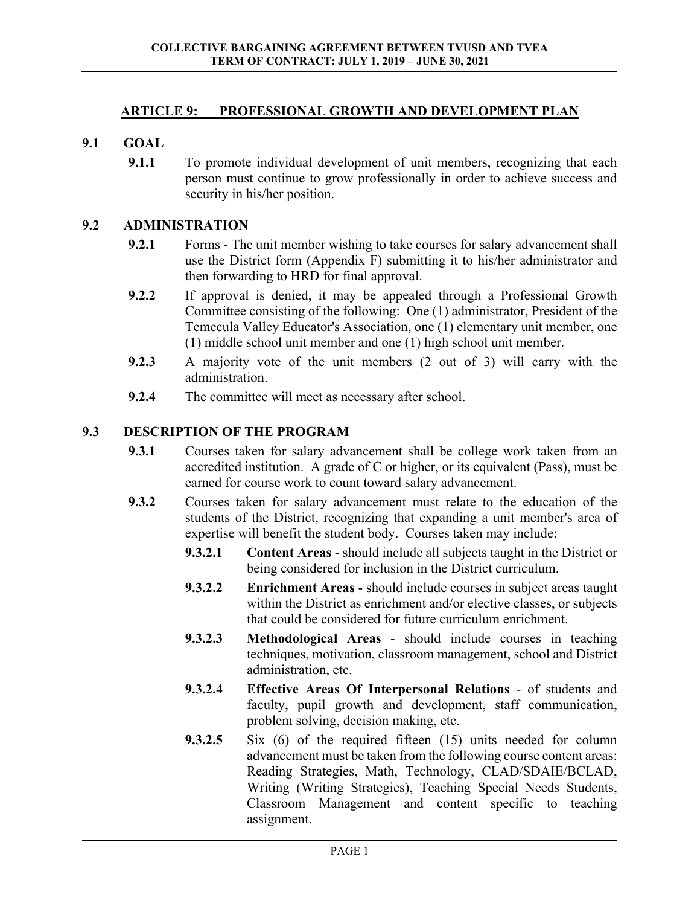## **ARTICLE 9: PROFESSIONAL GROWTH AND DEVELOPMENT PLAN**

## **9.1 GOAL**

**9.1.1** To promote individual development of unit members, recognizing that each person must continue to grow professionally in order to achieve success and security in his/her position.

#### **9.2 ADMINISTRATION**

- **9.2.1** Forms The unit member wishing to take courses for salary advancement shall use the District form (Appendix F) submitting it to his/her administrator and then forwarding to HRD for final approval.
- **9.2.2** If approval is denied, it may be appealed through a Professional Growth Committee consisting of the following: One (1) administrator, President of the Temecula Valley Educator's Association, one (1) elementary unit member, one (1) middle school unit member and one (1) high school unit member.
- **9.2.3** A majority vote of the unit members (2 out of 3) will carry with the administration.
- **9.2.4** The committee will meet as necessary after school.

## **9.3 DESCRIPTION OF THE PROGRAM**

- **9.3.1** Courses taken for salary advancement shall be college work taken from an accredited institution. A grade of C or higher, or its equivalent (Pass), must be earned for course work to count toward salary advancement.
- **9.3.2** Courses taken for salary advancement must relate to the education of the students of the District, recognizing that expanding a unit member's area of expertise will benefit the student body. Courses taken may include:
	- **9.3.2.1 Content Areas** should include all subjects taught in the District or being considered for inclusion in the District curriculum.
	- **9.3.2.2 Enrichment Areas** should include courses in subject areas taught within the District as enrichment and/or elective classes, or subjects that could be considered for future curriculum enrichment.
	- **9.3.2.3 Methodological Areas** should include courses in teaching techniques, motivation, classroom management, school and District administration, etc.
	- **9.3.2.4 Effective Areas Of Interpersonal Relations** of students and faculty, pupil growth and development, staff communication, problem solving, decision making, etc.
	- **9.3.2.5** Six (6) of the required fifteen (15) units needed for column advancement must be taken from the following course content areas: Reading Strategies, Math, Technology, CLAD/SDAIE/BCLAD, Writing (Writing Strategies), Teaching Special Needs Students, Classroom Management and content specific to teaching assignment.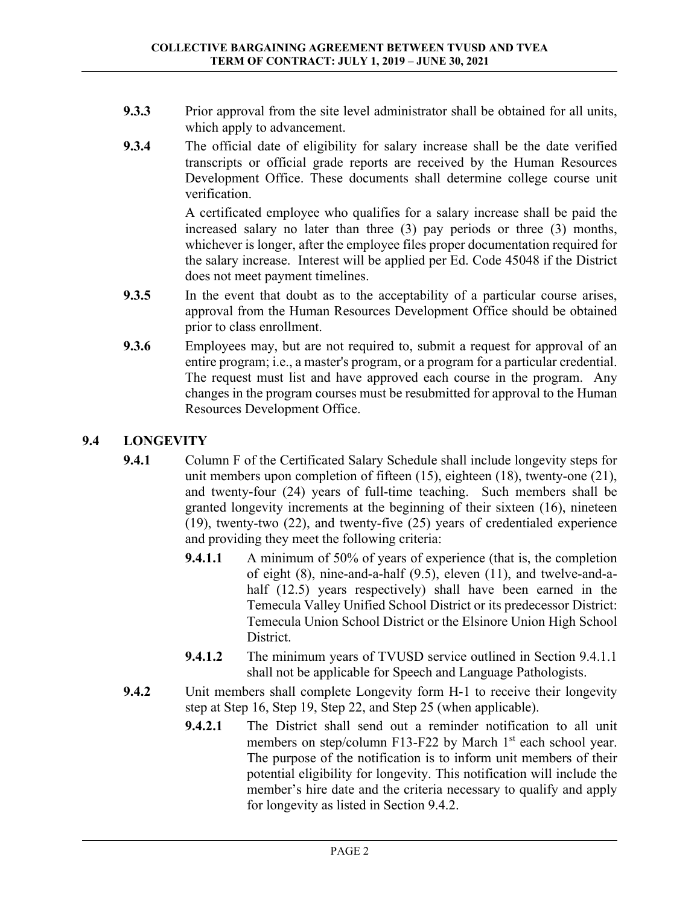- **9.3.3** Prior approval from the site level administrator shall be obtained for all units, which apply to advancement.
- **9.3.4** The official date of eligibility for salary increase shall be the date verified transcripts or official grade reports are received by the Human Resources Development Office. These documents shall determine college course unit verification.

 A certificated employee who qualifies for a salary increase shall be paid the increased salary no later than three (3) pay periods or three (3) months, whichever is longer, after the employee files proper documentation required for the salary increase. Interest will be applied per Ed. Code 45048 if the District does not meet payment timelines.

- **9.3.5** In the event that doubt as to the acceptability of a particular course arises, approval from the Human Resources Development Office should be obtained prior to class enrollment.
- **9.3.6** Employees may, but are not required to, submit a request for approval of an entire program; i.e., a master's program, or a program for a particular credential. The request must list and have approved each course in the program. Any changes in the program courses must be resubmitted for approval to the Human Resources Development Office.

# **9.4 LONGEVITY**

- **9.4.1** Column F of the Certificated Salary Schedule shall include longevity steps for unit members upon completion of fifteen (15), eighteen (18), twenty-one (21), and twenty-four (24) years of full-time teaching. Such members shall be granted longevity increments at the beginning of their sixteen (16), nineteen (19), twenty-two (22), and twenty-five (25) years of credentialed experience and providing they meet the following criteria:
	- **9.4.1.1** A minimum of 50% of years of experience (that is, the completion of eight (8), nine-and-a-half (9.5), eleven (11), and twelve-and-ahalf (12.5) years respectively) shall have been earned in the Temecula Valley Unified School District or its predecessor District: Temecula Union School District or the Elsinore Union High School District.
	- **9.4.1.2** The minimum years of TVUSD service outlined in Section 9.4.1.1 shall not be applicable for Speech and Language Pathologists.
- **9.4.2** Unit members shall complete Longevity form H-1 to receive their longevity step at Step 16, Step 19, Step 22, and Step 25 (when applicable).
	- **9.4.2.1** The District shall send out a reminder notification to all unit members on step/column F13-F22 by March 1<sup>st</sup> each school year. The purpose of the notification is to inform unit members of their potential eligibility for longevity. This notification will include the member's hire date and the criteria necessary to qualify and apply for longevity as listed in Section 9.4.2.